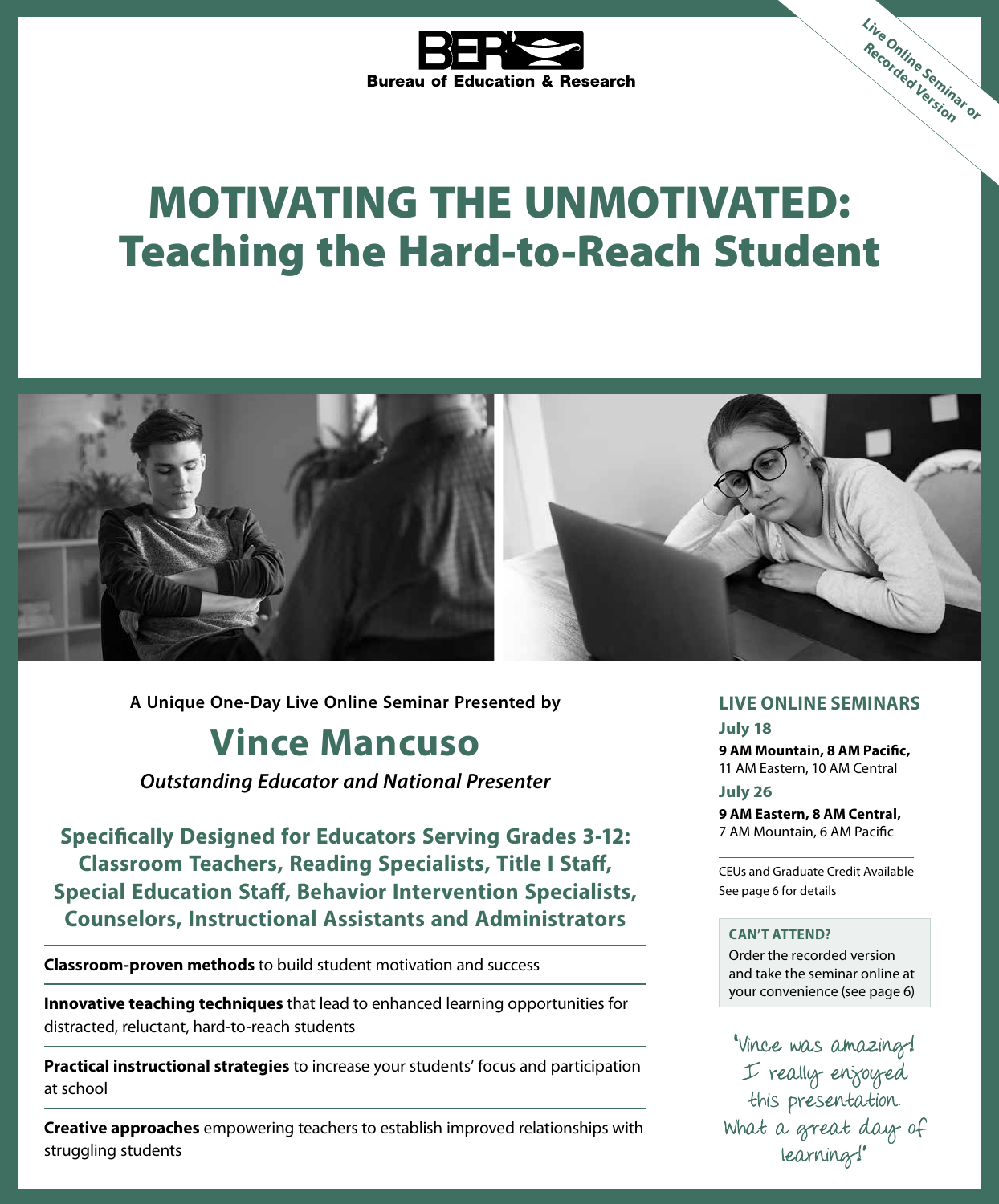

# MOTIVATING THE UNMOTIVATED: Teaching the Hard-to-Reach Student



**A Unique One-Day Live Online Seminar Presented by LIVE ONLINE SEMINARS**

## **Vince Mancuso**

*Outstanding Educator and National Presenter*

**Specifically Designed for Educators Serving Grades 3-12: Classroom Teachers, Reading Specialists, Title I Staff, Special Education Staff, Behavior Intervention Specialists, Counselors, Instructional Assistants and Administrators**

**Classroom-proven methods** to build student motivation and success

**Innovative teaching techniques** that lead to enhanced learning opportunities for distracted, reluctant, hard-to-reach students

**Practical instructional strategies** to increase your students' focus and participation at school

**Creative approaches** empowering teachers to establish improved relationships with struggling students

**Live Online Seminar or Recorded Version**

**July 18 9 AM Mountain, 8 AM Pacific,** 11 AM Eastern, 10 AM Central

**July 26 9 AM Eastern, 8 AM Central,** 7 AM Mountain, 6 AM Pacific

CEUs and Graduate Credit Available See page 6 for details

#### **CAN'T ATTEND?**

Order the recorded version and take the seminar online at your convenience (see page 6)

"Vince was amazing! I really enjoyed this presentation. What a great day of learning!"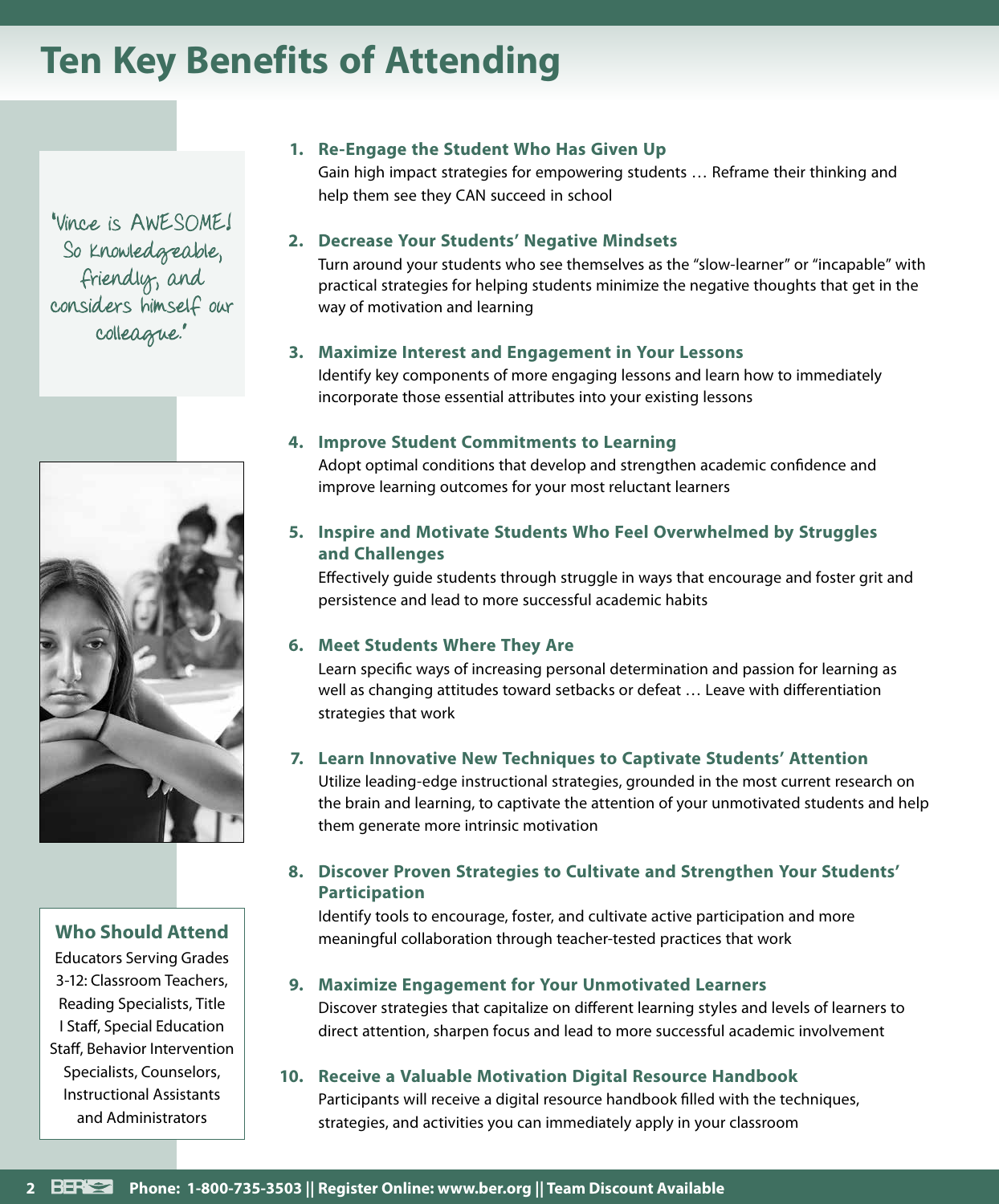## **Ten Key Benefits of Attending**

"Vince is AWESOME! So knowledgeable, friendly, and considers himself our colleague."



#### **Who Should Attend**

Educators Serving Grades 3-12: Classroom Teachers, Reading Specialists, Title I Staff, Special Education Staff, Behavior Intervention Specialists, Counselors, Instructional Assistants and Administrators

#### **1. Re-Engage the Student Who Has Given Up**

Gain high impact strategies for empowering students … Reframe their thinking and help them see they CAN succeed in school

#### **2. Decrease Your Students' Negative Mindsets**

Turn around your students who see themselves as the "slow-learner" or "incapable" with practical strategies for helping students minimize the negative thoughts that get in the way of motivation and learning

#### **3. Maximize Interest and Engagement in Your Lessons**

Identify key components of more engaging lessons and learn how to immediately incorporate those essential attributes into your existing lessons

#### **4. Improve Student Commitments to Learning**

Adopt optimal conditions that develop and strengthen academic confidence and improve learning outcomes for your most reluctant learners

#### **5. Inspire and Motivate Students Who Feel Overwhelmed by Struggles and Challenges**

Effectively guide students through struggle in ways that encourage and foster grit and persistence and lead to more successful academic habits

#### **6. Meet Students Where They Are**

Learn specific ways of increasing personal determination and passion for learning as well as changing attitudes toward setbacks or defeat … Leave with differentiation strategies that work

#### **7. Learn Innovative New Techniques to Captivate Students' Attention**

Utilize leading-edge instructional strategies, grounded in the most current research on the brain and learning, to captivate the attention of your unmotivated students and help them generate more intrinsic motivation

#### **8. Discover Proven Strategies to Cultivate and Strengthen Your Students' Participation**

Identify tools to encourage, foster, and cultivate active participation and more meaningful collaboration through teacher-tested practices that work

#### **9. Maximize Engagement for Your Unmotivated Learners**

Discover strategies that capitalize on different learning styles and levels of learners to direct attention, sharpen focus and lead to more successful academic involvement

#### **10. Receive a Valuable Motivation Digital Resource Handbook** Participants will receive a digital resource handbook filled with the techniques, strategies, and activities you can immediately apply in your classroom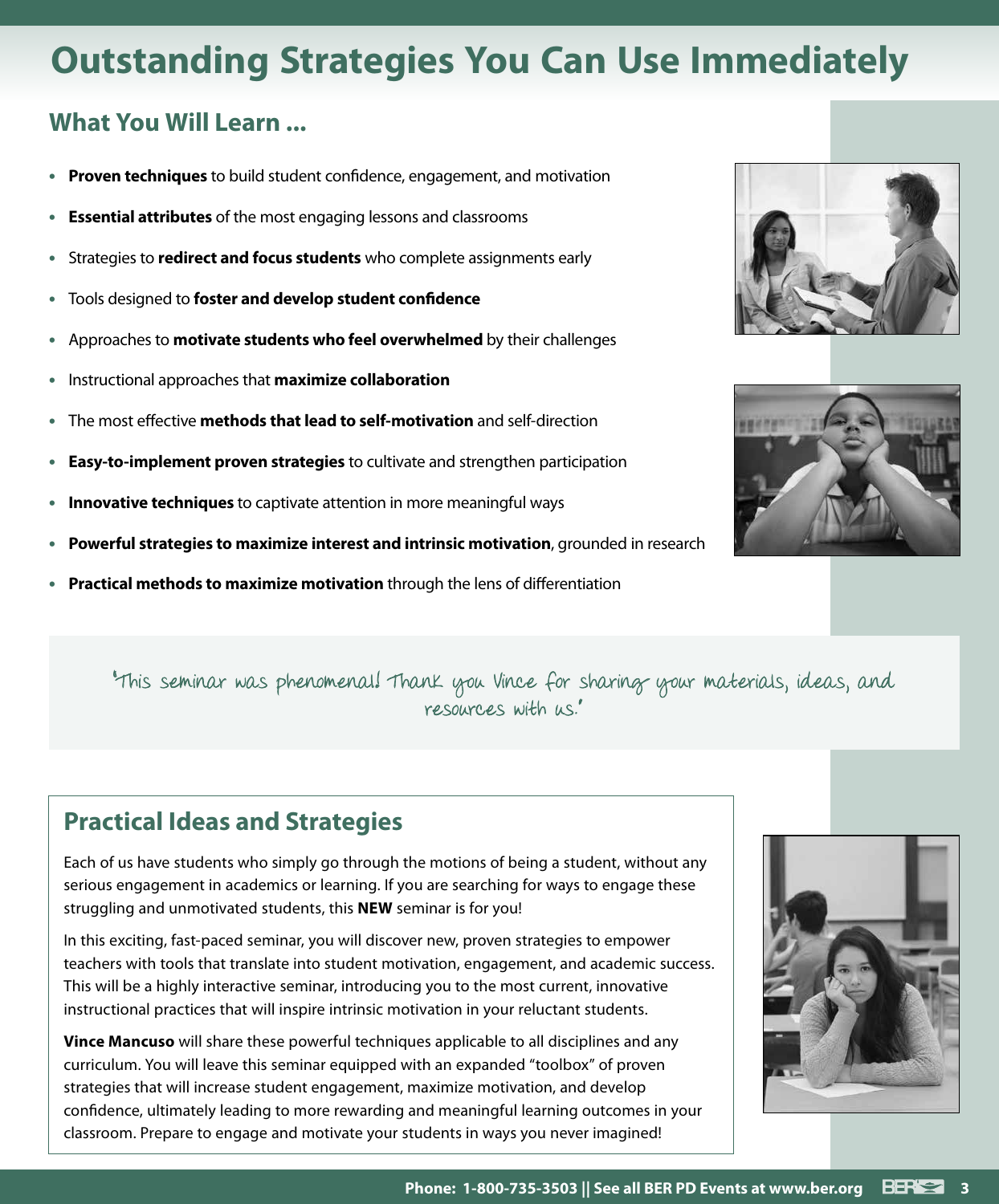## **Outstanding Strategies You Can Use Immediately**

### **What You Will Learn ...**

- **• Proven techniques** to build student confidence, engagement, and motivation
- **• Essential attributes** of the most engaging lessons and classrooms
- **•** Strategies to **redirect and focus students** who complete assignments early
- **•** Tools designed to **foster and develop student confidence**
- **•** Approaches to **motivate students who feel overwhelmed** by their challenges
- **•** Instructional approaches that **maximize collaboration**
- **•** The most effective **methods that lead to self-motivation** and self-direction
- **• Easy-to-implement proven strategies** to cultivate and strengthen participation
- **• Innovative techniques** to captivate attention in more meaningful ways
- **• Powerful strategies to maximize interest and intrinsic motivation**, grounded in research
- **• Practical methods to maximize motivation** through the lens of differentiation



### **Practical Ideas and Strategies**

Each of us have students who simply go through the motions of being a student, without any serious engagement in academics or learning. If you are searching for ways to engage these struggling and unmotivated students, this **NEW** seminar is for you!

In this exciting, fast-paced seminar, you will discover new, proven strategies to empower teachers with tools that translate into student motivation, engagement, and academic success. This will be a highly interactive seminar, introducing you to the most current, innovative instructional practices that will inspire intrinsic motivation in your reluctant students.

**Vince Mancuso** will share these powerful techniques applicable to all disciplines and any curriculum. You will leave this seminar equipped with an expanded "toolbox" of proven strategies that will increase student engagement, maximize motivation, and develop confidence, ultimately leading to more rewarding and meaningful learning outcomes in your classroom. Prepare to engage and motivate your students in ways you never imagined!





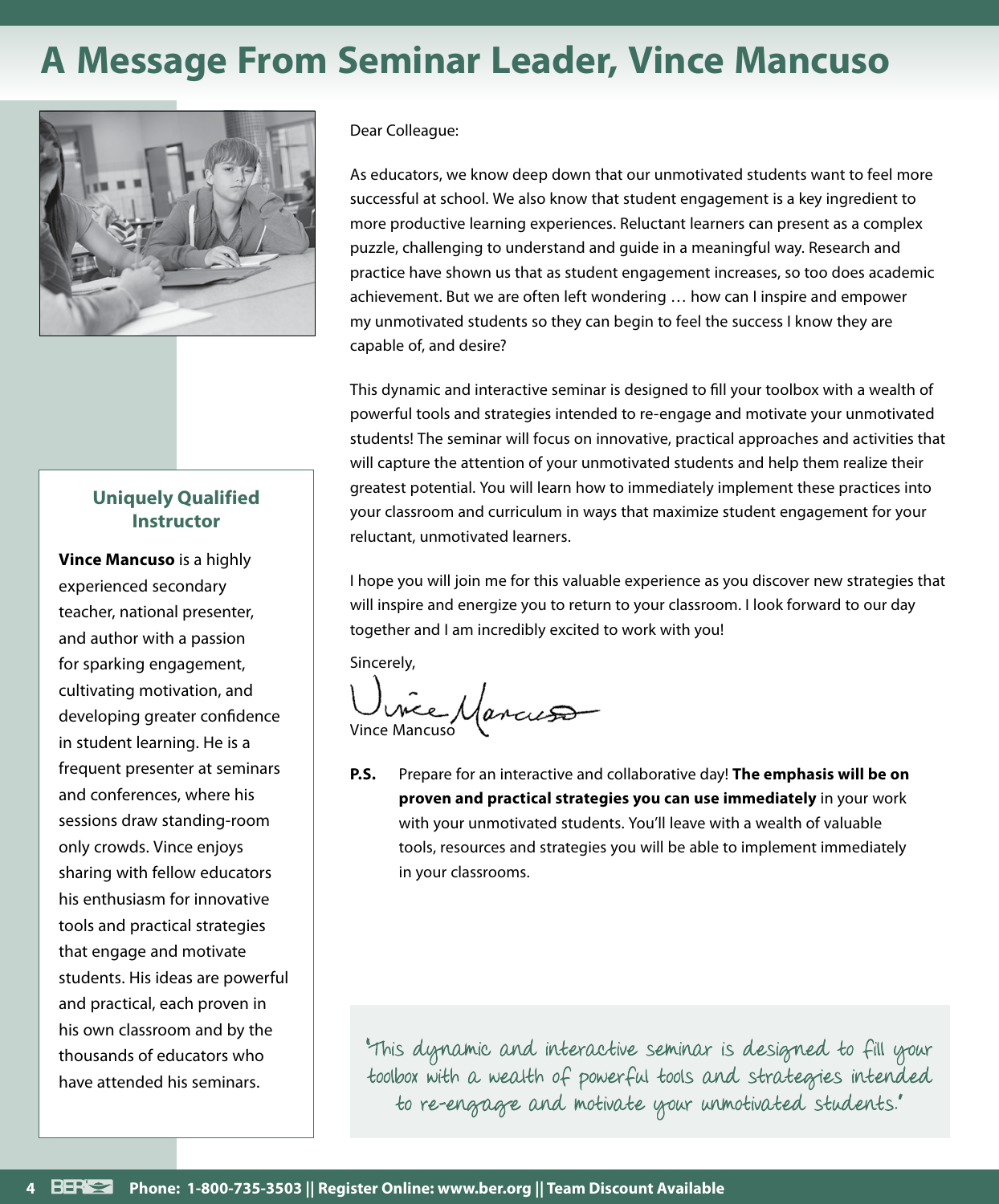## **A Message From Seminar Leader, Vince Mancuso**



#### **Uniquely Qualified Instructor**

**Vince Mancuso** is a highly experienced secondary teacher, national presenter, and author with a passion for sparking engagement, cultivating motivation, and developing greater confidence in student learning. He is a frequent presenter at seminars and conferences, where his sessions draw standing-room only crowds. Vince enjoys sharing with fellow educators his enthusiasm for innovative tools and practical strategies that engage and motivate students. His ideas are powerful and practical, each proven in his own classroom and by the thousands of educators who have attended his seminars.

#### Dear Colleague:

As educators, we know deep down that our unmotivated students want to feel more successful at school. We also know that student engagement is a key ingredient to more productive learning experiences. Reluctant learners can present as a complex puzzle, challenging to understand and guide in a meaningful way. Research and practice have shown us that as student engagement increases, so too does academic achievement. But we are often left wondering … how can I inspire and empower my unmotivated students so they can begin to feel the success I know they are capable of, and desire?

This dynamic and interactive seminar is designed to fill your toolbox with a wealth of powerful tools and strategies intended to re-engage and motivate your unmotivated students! The seminar will focus on innovative, practical approaches and activities that will capture the attention of your unmotivated students and help them realize their greatest potential. You will learn how to immediately implement these practices into your classroom and curriculum in ways that maximize student engagement for your reluctant, unmotivated learners.

I hope you will join me for this valuable experience as you discover new strategies that will inspire and energize you to return to your classroom. I look forward to our day together and I am incredibly excited to work with you!

Sincerely,

Vince Mancuso

**P.S.** Prepare for an interactive and collaborative day! **The emphasis will be on proven and practical strategies you can use immediately** in your work with your unmotivated students. You'll leave with a wealth of valuable tools, resources and strategies you will be able to implement immediately in your classrooms.

"This dynamic and interactive seminar is designed to fill your toolbox with a wealth of powerful tools and strategies intended to re-engage and motivate your unmotivated students."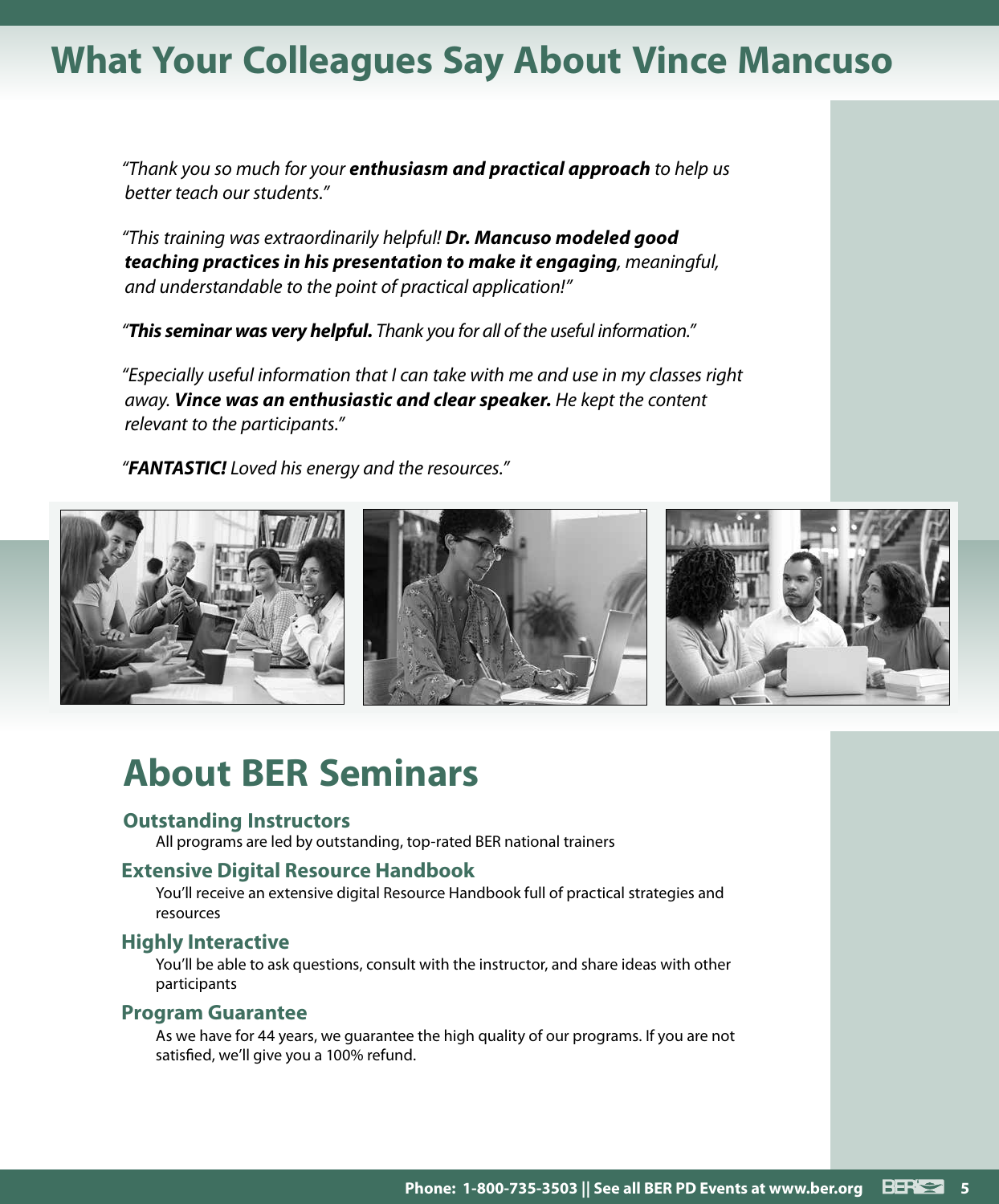## **What Your Colleagues Say About Vince Mancuso**

*"Thank you so much for your enthusiasm and practical approach to help us better teach our students."*

*"This training was extraordinarily helpful! Dr. Mancuso modeled good teaching practices in his presentation to make it engaging, meaningful, and understandable to the point of practical application!"*

*"This seminar was very helpful. Thank you for all of the useful information."*

*"Especially useful information that I can take with me and use in my classes right away. Vince was an enthusiastic and clear speaker. He kept the content relevant to the participants."*

*"FANTASTIC! Loved his energy and the resources."*



## **About BER Seminars**

#### **Outstanding Instructors**

All programs are led by outstanding, top-rated BER national trainers

#### **Extensive Digital Resource Handbook**

You'll receive an extensive digital Resource Handbook full of practical strategies and resources

#### **Highly Interactive**

You'll be able to ask questions, consult with the instructor, and share ideas with other participants

#### **Program Guarantee**

As we have for 44 years, we guarantee the high quality of our programs. If you are not satisfied, we'll give you a 100% refund.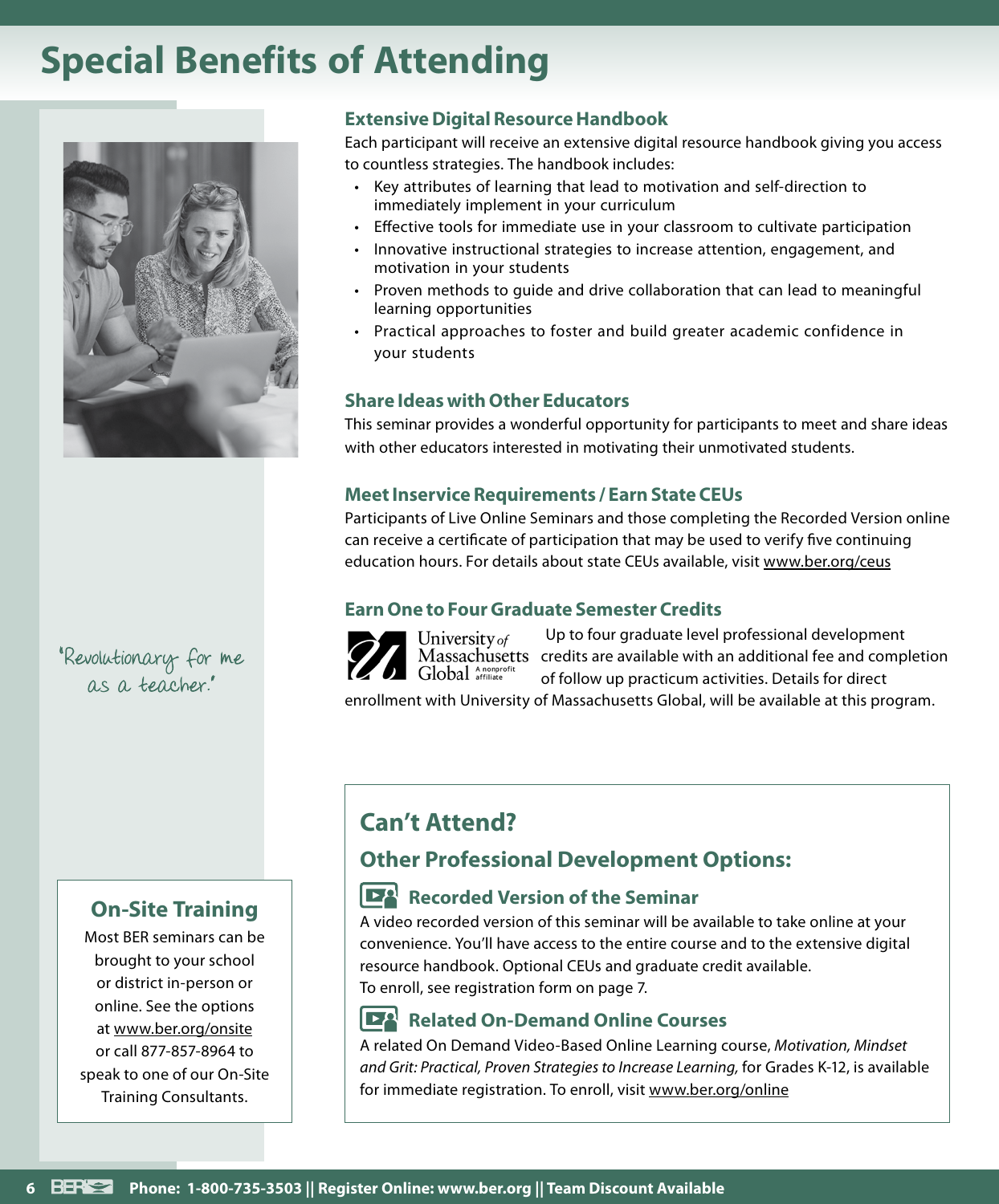## **Special Benefits of Attending**



"Revolutionary for me as a teacher."

### **On-Site Training**

Most BER seminars can be brought to your school or district in-person or online. See the options at www.ber.org/onsite or call 877-857-8964 to speak to one of our On-Site Training Consultants.

#### **Extensive Digital Resource Handbook**

Each participant will receive an extensive digital resource handbook giving you access to countless strategies. The handbook includes:

- Key attributes of learning that lead to motivation and self-direction to immediately implement in your curriculum
- Effective tools for immediate use in your classroom to cultivate participation
- Innovative instructional strategies to increase attention, engagement, and motivation in your students
- Proven methods to guide and drive collaboration that can lead to meaningful learning opportunities
- Practical approaches to foster and build greater academic confidence in your students

#### **Share Ideas with Other Educators**

This seminar provides a wonderful opportunity for participants to meet and share ideas with other educators interested in motivating their unmotivated students.

#### **Meet Inservice Requirements / Earn State CEUs**

Participants of Live Online Seminars and those completing the Recorded Version online can receive a certificate of participation that may be used to verify five continuing education hours. For details about state CEUs available, visit www.ber.org/ceus

#### **Earn One to Four Graduate Semester Credits**



University of Global Anonprofi

Up to four graduate level professional development Massachusetts credits are available with an additional fee and completion of follow up practicum activities. Details for direct

enrollment with University of Massachusetts Global, will be available at this program.

### **Can't Attend?**

### **Other Professional Development Options:**

### **Recorded Version of the Seminar**

A video recorded version of this seminar will be available to take online at your convenience. You'll have access to the entire course and to the extensive digital resource handbook. Optional CEUs and graduate credit available. To enroll, see registration form on page 7.

#### **Related On-Demand Online Courses**

A related On Demand Video-Based Online Learning course, *Motivation, Mindset and Grit: Practical, Proven Strategies to Increase Learning,* for Grades K-12, is available for immediate registration. To enroll, visit www.ber.org/online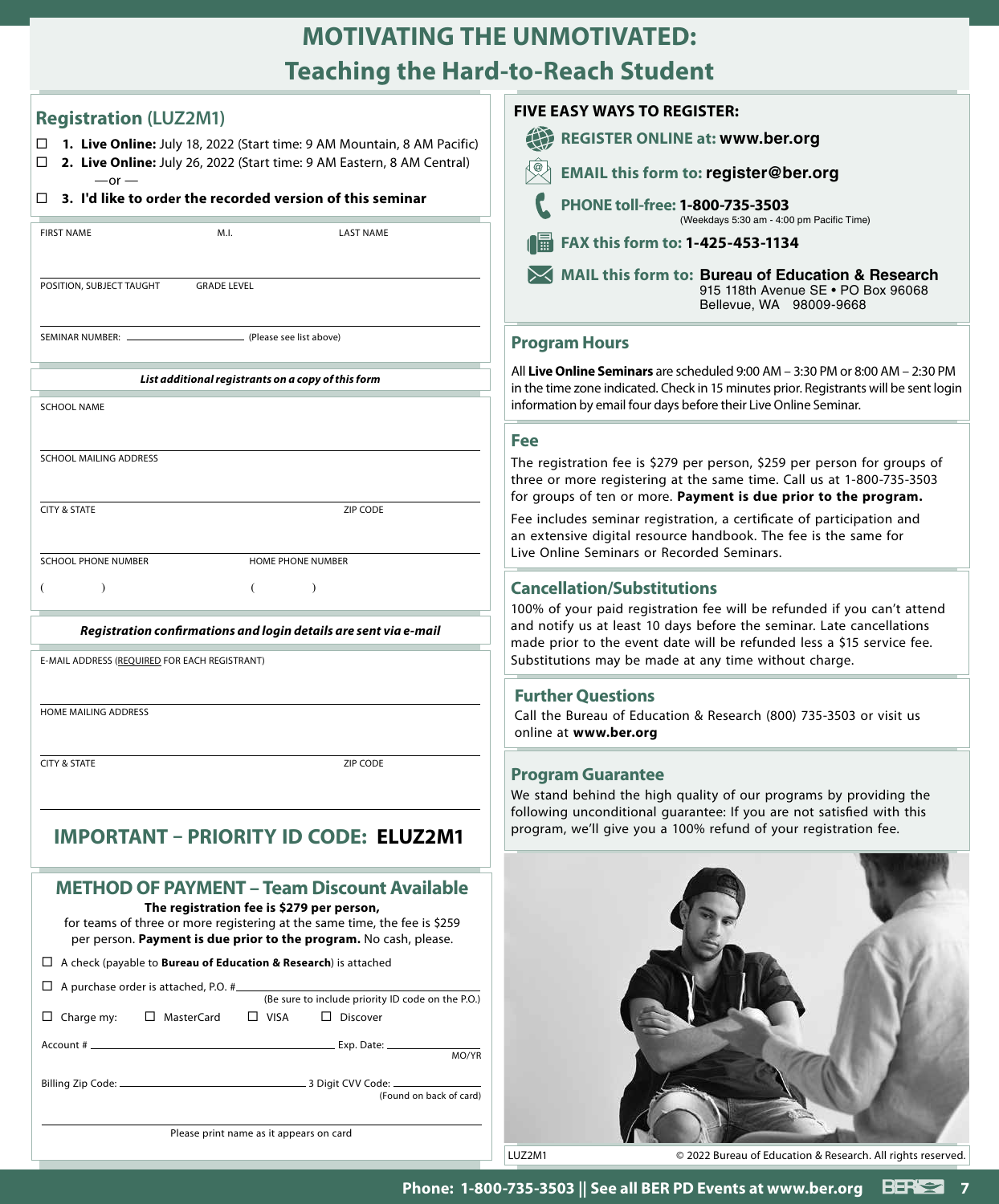### **MOTIVATING THE UNMOTIVATED: Teaching the Hard-to-Reach Student**

| <b>Registration (LUZ2M1)</b>                                                                                                                                                                                                                      | <b>FIVE EASY WAYS TO REGISTER:</b>                                                                                       |
|---------------------------------------------------------------------------------------------------------------------------------------------------------------------------------------------------------------------------------------------------|--------------------------------------------------------------------------------------------------------------------------|
| 1. Live Online: July 18, 2022 (Start time: 9 AM Mountain, 8 AM Pacific)<br>□                                                                                                                                                                      | <b>REGISTER ONLINE at: WV</b>                                                                                            |
| 2. Live Online: July 26, 2022 (Start time: 9 AM Eastern, 8 AM Central)<br>□<br>$-$ or $-$                                                                                                                                                         | <b>EMAIL this form to: regis</b>                                                                                         |
| 3. I'd like to order the recorded version of this seminar<br>□                                                                                                                                                                                    | PHONE toll-free: 1-800-73<br>(Weekdays 5:                                                                                |
| <b>FIRST NAME</b><br>M.I.<br><b>LAST NAME</b>                                                                                                                                                                                                     | $\frac{1}{2}$ FAX this form to: 1-425-4                                                                                  |
| POSITION, SUBJECT TAUGHT<br><b>GRADE LEVEL</b>                                                                                                                                                                                                    | MAIL this form to: Burea<br>915 118<br><b>Bellevu</b>                                                                    |
| SEMINAR NUMBER: .<br>(Please see list above)                                                                                                                                                                                                      | <b>Program Hours</b>                                                                                                     |
| List additional registrants on a copy of this form                                                                                                                                                                                                | All Live Online Seminars are scheduled 9                                                                                 |
| <b>SCHOOL NAME</b>                                                                                                                                                                                                                                | in the time zone indicated. Check in 15 mi<br>information by email four days before the                                  |
|                                                                                                                                                                                                                                                   | <b>Fee</b>                                                                                                               |
| SCHOOL MAILING ADDRESS                                                                                                                                                                                                                            | The registration fee is \$279 per perso<br>three or more registering at the same<br>for groups of ten or more. Payment i |
| <b>CITY &amp; STATE</b><br>ZIP CODE                                                                                                                                                                                                               | Fee includes seminar registration, a c<br>an extensive digital resource handbo                                           |
| <b>SCHOOL PHONE NUMBER</b><br>HOME PHONE NUMBER                                                                                                                                                                                                   | Live Online Seminars or Recorded Ser                                                                                     |
| $\lambda$<br>€<br>$\lambda$<br>€                                                                                                                                                                                                                  | <b>Cancellation/Substitutions</b><br>100% of your paid registration fee wi                                               |
| Registration confirmations and login details are sent via e-mail                                                                                                                                                                                  | and notify us at least 10 days before<br>made prior to the event date will be                                            |
| E-MAIL ADDRESS (REQUIRED FOR EACH REGISTRANT)                                                                                                                                                                                                     | Substitutions may be made at any tin                                                                                     |
| HOME MAILING ADDRESS                                                                                                                                                                                                                              | <b>Further Questions</b>                                                                                                 |
|                                                                                                                                                                                                                                                   | Call the Bureau of Education & Resea<br>online at www.ber.org                                                            |
| <b>CITY &amp; STATE</b><br>ZIP CODE                                                                                                                                                                                                               | <b>Program Guarantee</b>                                                                                                 |
|                                                                                                                                                                                                                                                   | We stand behind the high quality of<br>following unconditional guarantee: If                                             |
| <b>IMPORTANT - PRIORITY ID CODE: ELUZ2M1</b>                                                                                                                                                                                                      | program, we'll give you a 100% refun                                                                                     |
| <b>METHOD OF PAYMENT - Team Discount Available</b><br>The registration fee is \$279 per person,<br>for teams of three or more registering at the same time, the fee is \$259<br>per person. Payment is due prior to the program. No cash, please. |                                                                                                                          |
| $\Box$ A check (payable to <b>Bureau of Education &amp; Research</b> ) is attached                                                                                                                                                                |                                                                                                                          |
| (Be sure to include priority ID code on the P.O.)                                                                                                                                                                                                 |                                                                                                                          |
|                                                                                                                                                                                                                                                   |                                                                                                                          |
| $\Box$ Charge my:<br>□ MasterCard<br>$\Box$ VISA $\Box$ Discover                                                                                                                                                                                  |                                                                                                                          |
| MO/YR                                                                                                                                                                                                                                             |                                                                                                                          |
| (Found on back of card)                                                                                                                                                                                                                           |                                                                                                                          |

### **FAX this form to: 1-425-453-1134 MAIL this form to: Bureau of Education & Research** 915 118th Avenue SE • PO Box 96068 Bellevue, WA 98009‑9668 **PHONE toll-free: 1-800-735-3503** (Weekdays 5:30 am ‑ 4:00 pm Pacific Time) **REGISTER ONLINE at: www.ber.org** form to: **register@ber.org**

**ars** are scheduled 9:00 AM – 3:30 PM or 8:00 AM – 2:30 PM ted. Check in 15 minutes prior. Registrants will be sent login ur days before their Live Online Seminar.

is \$279 per person, \$259 per person for groups of ering at the same time. Call us at 1-800-735-3503 more. Payment is due prior to the program.

registration, a certificate of participation and esource handbook. The fee is the same for or Recorded Seminars.

#### **Cancellation/Substitutions**

egistration fee will be refunded if you can't attend 10 days before the seminar. Late cancellations ent date will be refunded less a \$15 service fee. made at any time without charge.

#### **ns**

ducation & Research (800) 735-3503 or visit us org

#### tee

high quality of our programs by providing the nal guarantee: If you are not satisfied with this ou a 100% refund of your registration fee.